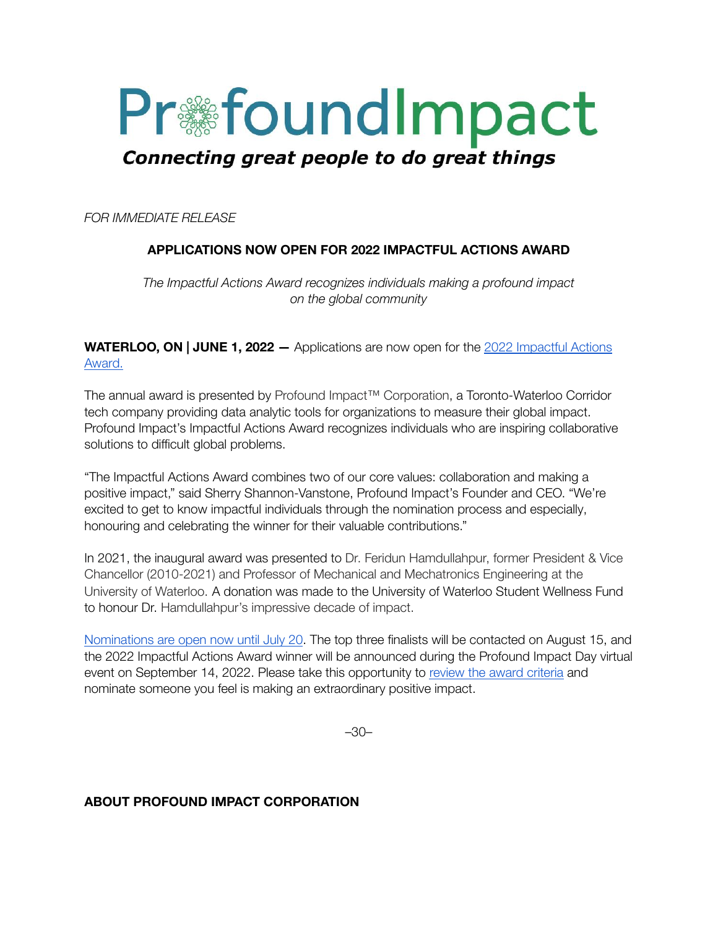

*FOR IMMEDIATE RELEASE*

## **APPLICATIONS NOW OPEN FOR 2022 IMPACTFUL ACTIONS AWARD**

*The Impactful Actions Award recognizes individuals making a profound impact on the global community*

**WATERLOO, ON | JUNE 1, 2022 —** Applications are now open for the 2022 [Impactful](https://news.profoundimpact.com/2022/05/12/impactful-actions-award/) Actions [Award.](https://news.profoundimpact.com/2022/05/12/impactful-actions-award/)

The annual award is presented by Profound Impact™ Corporation, a Toronto-Waterloo Corridor tech company providing data analytic tools for organizations to measure their global impact. Profound Impact's Impactful Actions Award recognizes individuals who are inspiring collaborative solutions to difficult global problems.

"The Impactful Actions Award combines two of our core values: collaboration and making a positive impact," said Sherry Shannon-Vanstone, Profound Impact's Founder and CEO. "We're excited to get to know impactful individuals through the nomination process and especially, honouring and celebrating the winner for their valuable contributions."

In 2021, the inaugural award was presented to Dr. Feridun Hamdullahpur, former President & Vice Chancellor (2010-2021) and Professor of Mechanical and Mechatronics Engineering at the University of Waterloo. A donation was made to the University of Waterloo Student Wellness Fund to honour Dr. Hamdullahpur's impressive decade of impact.

[Nominations](https://docs.google.com/forms/d/e/1FAIpQLSfXNyIGinIfnz-qDqE-a_mZOfvOg3a7ciILK1FM78FtOyKBig/viewform) are open now until July 20. The top three finalists will be contacted on August 15, and the 2022 Impactful Actions Award winner will be announced during the Profound Impact Day virtual event on September 14, 2022. Please take this opportunity to review the award [criteria](https://news.profoundimpact.com/2022/05/12/impactful-actions-award/) and nominate someone you feel is making an extraordinary positive impact.

–30–

## **ABOUT PROFOUND IMPACT CORPORATION**